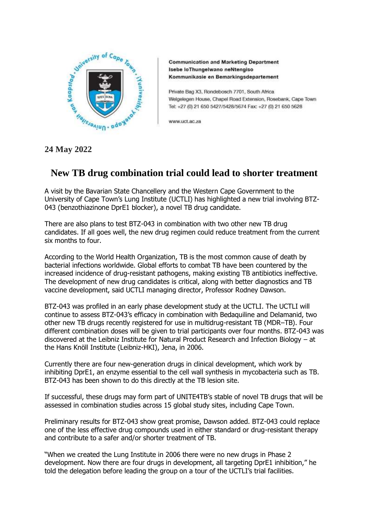

**Communication and Marketing Department** Isebe IoThungelwano neNtengiso Kommunikasie en Bemarkingsdepartement

Private Bag X3, Rondebosch 7701, South Africa Welgelegen House, Chapel Road Extension, Rosebank, Cape Town Tel: +27 (0) 21 650 5427/5428/5674 Fax: +27 (0) 21 650 5628

www.uct.ac.za

## **24 May 2022**

# **New TB drug combination trial could lead to shorter treatment**

A visit by the Bavarian State Chancellery and the Western Cape Government to the University of Cape Town's Lung Institute (UCTLI) has highlighted a new trial involving BTZ-043 (benzothiazinone DprE1 blocker), a novel TB drug candidate.

There are also plans to test BTZ-043 in combination with two other new TB drug candidates. If all goes well, the new drug regimen could reduce treatment from the current six months to four.

According to the World Health Organization, TB is the most common cause of death by bacterial infections worldwide. Global efforts to combat TB have been countered by the increased incidence of drug-resistant pathogens, making existing TB antibiotics ineffective. The development of new drug candidates is critical, along with better diagnostics and TB vaccine development, said UCTLI managing director, Professor Rodney Dawson.

BTZ-043 was profiled in an early phase development study at the UCTLI. The UCTLI will continue to assess BTZ-043's efficacy in combination with Bedaquiline and Delamanid, two other new TB drugs recently registered for use in multidrug-resistant TB (MDR–TB). Four different combination doses will be given to trial participants over four months. BTZ-043 was discovered at the Leibniz Institute for Natural Product Research and Infection Biology – at the Hans Knöll Institute (Leibniz-HKI), Jena, in 2006.

Currently there are four new-generation drugs in clinical development, which work by inhibiting DprE1, an enzyme essential to the cell wall synthesis in mycobacteria such as TB. BTZ-043 has been shown to do this directly at the TB lesion site.

If successful, these drugs may form part of UNITE4TB's stable of novel TB drugs that will be assessed in combination studies across 15 global study sites, including Cape Town.

Preliminary results for BTZ-043 show great promise, Dawson added. BTZ-043 could replace one of the less effective drug compounds used in either standard or drug-resistant therapy and contribute to a safer and/or shorter treatment of TB.

"When we created the Lung Institute in 2006 there were no new drugs in Phase 2 development. Now there are four drugs in development, all targeting DprE1 inhibition," he told the delegation before leading the group on a tour of the UCTLI's trial facilities.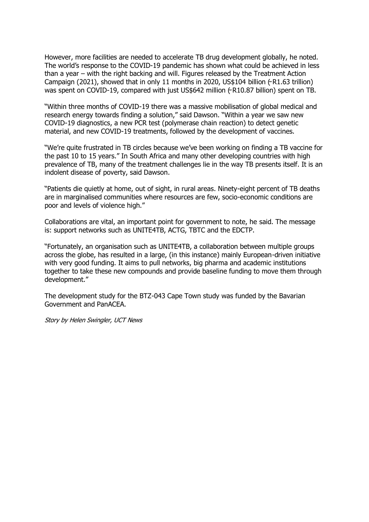However, more facilities are needed to accelerate TB drug development globally, he noted. The world's response to the COVID-19 pandemic has shown what could be achieved in less than a year – with the right backing and will. Figures released by the Treatment Action Campaign (2021), showed that in only 11 months in 2020, US\$104 billion  $(\text{R1.63 trillion})$ was spent on COVID-19, compared with just US\$642 million ( $\sim$ R10.87 billion) spent on TB.

"Within three months of COVID-19 there was a massive mobilisation of global medical and research energy towards finding a solution," said Dawson. "Within a year we saw new COVID-19 diagnostics, a new PCR test (polymerase chain reaction) to detect genetic material, and new COVID-19 treatments, followed by the development of vaccines.

"We're quite frustrated in TB circles because we've been working on finding a TB vaccine for the past 10 to 15 years." In South Africa and many other developing countries with high prevalence of TB, many of the treatment challenges lie in the way TB presents itself. It is an indolent disease of poverty, said Dawson.

"Patients die quietly at home, out of sight, in rural areas. Ninety-eight percent of TB deaths are in marginalised communities where resources are few, socio-economic conditions are poor and levels of violence high."

Collaborations are vital, an important point for government to note, he said. The message is: support networks such as UNITE4TB, ACTG, TBTC and the EDCTP.

"Fortunately, an organisation such as UNITE4TB, a collaboration between multiple groups across the globe, has resulted in a large, (in this instance) mainly European-driven initiative with very good funding. It aims to pull networks, big pharma and academic institutions together to take these new compounds and provide baseline funding to move them through development."

The development study for the BTZ-043 Cape Town study was funded by the Bavarian Government and PanACEA.

Story by Helen Swingler, UCT News